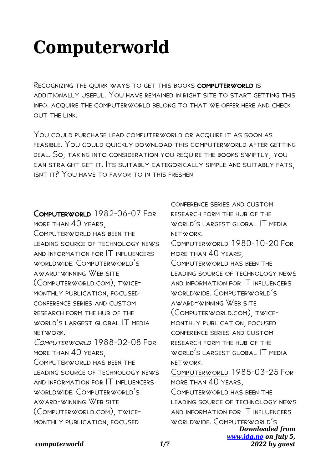# **Computerworld**

Recognizing the quirk ways to get this books computerworld is additionally useful. You have remained in right site to start getting this info. acquire the computerworld belong to that we offer here and check out the link.

You could purchase lead computerworld or acquire it as soon as feasible. You could quickly download this computerworld after getting deal. So, taking into consideration you require the books swiftly, you can straight get it. Its suitably categorically simple and suitably fats, isnt it? You have to favor to in this freshen

Computerworld 1982-06-07 For more than 40 years, COMPUTERWORLD HAS BEEN THE leading source of technology news and information for IT influencers worldwide. Computerworld's award-winning Web site (Computerworld.com), twicemonthly publication, focused conference series and custom research form the hub of the world's largest global IT media network. COMPUTERWORLD 1988-02-08 FOR more than 40 years, COMPLITERWORLD HAS REEN THE leading source of technology news and information for IT influencers worldwide. Computerworld's award-winning Web site (Computerworld.com), twicemonthly publication, focused

*Downloaded from* conference series and custom research form the hub of the world's largest global IT media network. Computerworld 1980-10-20 For more than 40 years, COMPUTERWORLD HAS BEEN THE leading source of technology news and information for IT influencers worldwide. Computerworld's award-winning Web site (Computerworld.com), twicemonthly publication, focused conference series and custom research form the hub of the world's largest global IT media network. Computerworld 1985-03-25 For more than 40 years, Computerworld has been the leading source of technology news and information for IT influencers worldwide. Computerworld's

## *computerworld 1/7*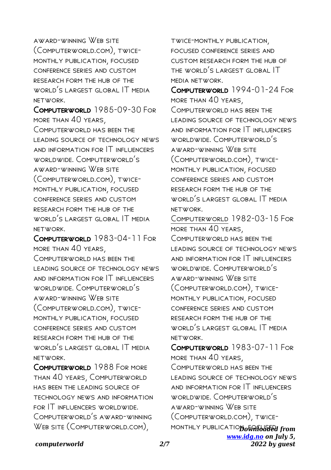award-winning Web site (Computerworld.com), twicemonthly publication, focused conference series and custom research form the hub of the WORLD'S LARGEST GLOBAL IT MEDIA network.

Computerworld 1985-09-30 For more than 40 years, COMPUTERWORLD HAS BEEN THE leading source of technology news and information for IT influencers worldwide. Computerworld's award-winning Web site (Computerworld.com), twicemonthly publication, focused conference series and custom research form the hub of the WORLD'S LARGEST GLOBAL IT MEDIA network.

Computerworld 1983-04-11 For more than 40 years,

COMPUTERWORLD HAS BEEN THE leading source of technology news and information for IT influencers worldwide. Computerworld's award-winning Web site (Computerworld.com), twicemonthly publication, focused conference series and custom research form the hub of the world's largest global IT media network.

Computerworld 1988 For more than 40 years, Computerworld has been the leading source of technology news and information for IT influencers worldwide. Computerworld's award-winning WEB SITE (COMPUTERWORLD.COM).

twice-monthly publication, focused conference series and custom research form the hub of the world's largest global IT media network.

COMPUTERWORLD 1994-01-24 FOR more than 40 years, COMPUTERWORLD HAS BEEN THE leading source of technology news and information for IT influencers worldwide. Computerworld's award-winning Web site (Computerworld.com), twicemonthly publication, focused conference series and custom research form the hub of the world's largest global IT media network.

Computerworld 1982-03-15 For more than 40 years, COMPUTERWORLD HAS BEEN THE leading source of technology news and information for IT influencers worldwide. Computerworld's award-winning Web site (Computerworld.com), twicemonthly publication, focused conference series and custom research form the hub of the world's largest global IT media network.

MONTHLY PUBLICATIO**D** o<del>wn loaded</del> from *[www.idg.no](http://www.idg.no) on July 5,* Computerworld 1983-07-11 For more than 40 years, Computerworld has been the leading source of technology news and information for IT influencers worldwide. Computerworld's award-winning Web site (Computerworld.com), twice-

*2022 by guest*

#### *computerworld 2/7*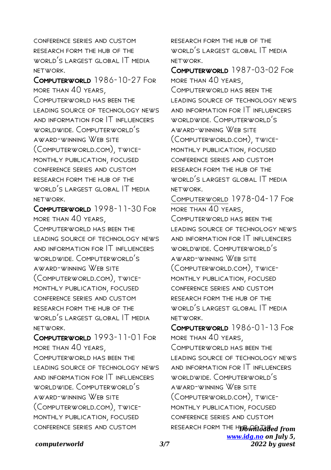conference series and custom research form the hub of the world's largest global IT media network.

Computerworld 1986-10-27 For more than 40 years, COMPLITERWORLD HAS REEN THE leading source of technology news and information for IT influencers worldwide. Computerworld's award-winning Web site (Computerworld.com), twicemonthly publication, focused conference series and custom research form the hub of the world's largest global IT media network.

Computerworld 1998-11-30 For more than 40 years, Computerworld has been the leading source of technology news and information for IT influencers worldwide. Computerworld's award-winning Web site (Computerworld.com), twicemonthly publication, focused conference series and custom research form the hub of the WORLD'S LARGEST GLOBAL IT MEDIA network.

Computerworld 1993-11-01 For more than 40 years, COMPUTERWORLD HAS BEEN THE leading source of technology news and information for IT influencers worldwide. Computerworld's award-winning Web site (Computerworld.com), twicemonthly publication, focused conference series and custom

research form the hub of the world's largest global IT media network.

Computerworld 1987-03-02 For more than 40 years, COMPUTERWORLD HAS BEEN THE LEADING SOURCE OF TECHNOLOGY NEWS and information for IT influencers worldwide. Computerworld's award-winning Web site (Computerworld.com), twicemonthly publication, focused conference series and custom research form the hub of the world's largest global IT media network.

Computerworld 1978-04-17 For more than 40 years, Computerworld has been the leading source of technology news and information for IT influencers worldwide. Computerworld's award-winning Web site (Computerworld.com), twicemonthly publication, focused conference series and custom research form the hub of the world's largest global IT media network.

RESEARCH FORM THE H**UB whildated from** *[www.idg.no](http://www.idg.no) on July 5,* COMPUTERWORLD 1986-01-13 FOR more than 40 years, COMPUTERWORLD HAS BEEN THE LEADING SOURCE OF TECHNOLOGY NEWS and information for IT influencers worldwide. Computerworld's award-winning Web site (Computerworld.com), twicemonthly publication, focused conference series and custom

*2022 by guest*

## *computerworld 3/7*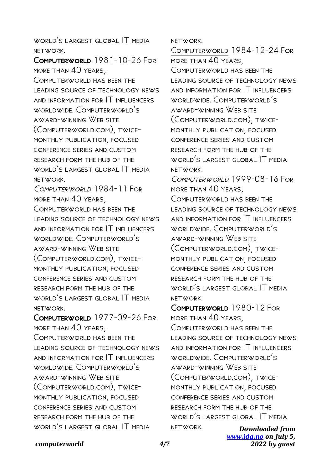WORLD'S LARGEST GLOBAL IT MEDIA network.

Computerworld 1981-10-26 For more than 40 years, Computerworld has been the leading source of technology news and information for IT influencers worldwide. Computerworld's award-winning Web site (Computerworld.com), twicemonthly publication, focused conference series and custom research form the hub of the WORLD'S LARGEST GLOBAL IT MEDIA network.

COMPUTERWORLD 1984-11 FOR more than 40 years, Computerworld has been the leading source of technology news and information for IT influencers worldwide. Computerworld's award-winning Web site (Computerworld.com), twicemonthly publication, focused conference series and custom research form the hub of the world's largest global IT media network.

Computerworld 1977-09-26 For more than 40 years,

COMPUTERWORLD HAS BEEN THE leading source of technology news and information for IT influencers worldwide. Computerworld's award-winning Web site (Computerworld.com), twicemonthly publication, focused conference series and custom research form the hub of the WORLD'S LARGEST GLOBAL IT MEDIA

network.

Computerworld 1984-12-24 For more than 40 years, Computerworld has been the leading source of technology news and information for IT influencers worldwide. Computerworld's award-winning Web site (Computerworld.com), twicemonthly publication, focused conference series and custom research form the hub of the world's largest global IT media network.

Computerworld 1999-08-16 For more than 40 years, COMPUTERWORLD HAS BEEN THE LEADING SOURCE OF TECHNOLOGY NEWS and information for IT influencers worldwide. Computerworld's award-winning Web site (Computerworld.com), twicemonthly publication, focused conference series and custom research form the hub of the world's largest global IT media network.

Computerworld 1980-12 For more than 40 years, COMPUTERWORLD HAS BEEN THE leading source of technology news and information for IT influencers worldwide. Computerworld's award-winning Web site (Computerworld.com), twicemonthly publication, focused conference series and custom research form the hub of the world's largest global IT media network.

*computerworld 4/7*

*Downloaded from [www.idg.no](http://www.idg.no) on July 5, 2022 by guest*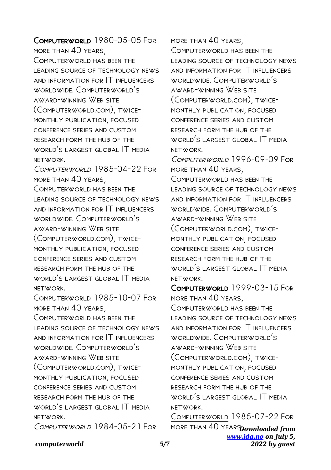COMPUTERWORLD 1980-05-05 FOR more than 40 years, Computerworld has been the leading source of technology news and information for IT influencers worldwide. Computerworld's award-winning Web site (Computerworld.com), twicemonthly publication, focused conference series and custom research form the hub of the WORI D'S LARGEST GLOBAL IT MEDIA network. COMPUTERWORLD 1985-04-22 FOR more than 40 years, COMPUTERWORLD HAS BEEN THE leading source of technology news and information for IT influencers worldwide. Computerworld's award-winning Web site (Computerworld.com), twicemonthly publication, focused conference series and custom research form the hub of the world's largest global IT media network. Computerworld 1985-10-07 For more than 40 years, COMPUTERWORLD HAS BEEN THE leading source of technology news and information for IT influencers

worldwide. Computerworld's award-winning Web site (Computerworld.com), twicemonthly publication, focused conference series and custom research form the hub of the world's largest global IT media network.

COMPUTERWORLD 1984-05-21 FOR

*computerworld 5/7*

more than 40 years,

COMPUTERWORLD HAS BEEN THE leading source of technology news and information for IT influencers worldwide. Computerworld's award-winning Web site (Computerworld.com), twicemonthly publication, focused conference series and custom research form the hub of the world's largest global IT media network.

Computerworld 1996-09-09 For more than 40 years,

Computerworld has been the leading source of technology news and information for IT influencers worldwide. Computerworld's award-winning Web site (Computerworld.com), twicemonthly publication, focused conference series and custom research form the hub of the world's largest global IT media network.

Computerworld 1999-03-15 For more than 40 years, COMPUTERWORLD HAS BEEN THE leading source of technology news and information for IT influencers worldwide. Computerworld's award-winning Web site (Computerworld.com), twicemonthly publication, focused conference series and custom research form the hub of the WORLD'S LARGEST GLOBAL IT MEDIA network.

more than  $40$  years **Downloaded from** *[www.idg.no](http://www.idg.no) on July 5, 2022 by guest* Computerworld 1985-07-22 For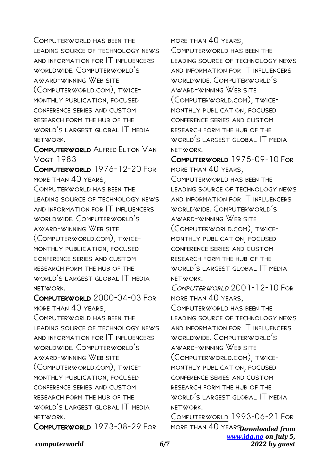COMPUTERWORLD HAS BEEN THE leading source of technology news and information for IT influencers worldwide. Computerworld's award-winning Web site (Computerworld.com), twicemonthly publication, focused conference series and custom research form the hub of the WORLD'S LARGEST GLOBAL IT MEDIA network.

Computerworld Alfred Elton Van Vogt 1983

Computerworld 1976-12-20 For more than 40 years, COMPUTERWORLD HAS BEEN THE leading source of technology news and information for IT influencers worldwide. Computerworld's award-winning Web site (Computerworld.com), twicemonthly publication, focused conference series and custom research form the hub of the world's largest global IT media network.

Computerworld 2000-04-03 For more than 40 years, COMPUTERWORLD HAS BEEN THE leading source of technology news and information for IT influencers worldwide. Computerworld's award-winning Web site (Computerworld.com), twicemonthly publication, focused conference series and custom research form the hub of the world's largest global IT media network.

Computerworld 1973-08-29 For

more than 40 years, COMPUTERWORLD HAS BEEN THE leading source of technology news and information for IT influencers worldwide. Computerworld's award-winning Web site (Computerworld.com), twicemonthly publication, focused conference series and custom research form the hub of the world's largest global IT media network.

Computerworld 1975-09-10 For more than 40 years, Computerworld has been the leading source of technology news and information for IT influencers worldwide. Computerworld's award-winning Web site (Computerworld.com), twicemonthly publication, focused conference series and custom research form the hub of the world's largest global IT media network.

COMPUTERWORLD 2001-12-10 FOR more than 40 years, COMPUTERWORLD HAS BEEN THE leading source of technology news and information for IT influencers worldwide. Computerworld's award-winning Web site (Computerworld.com), twicemonthly publication, focused conference series and custom research form the hub of the world's largest global IT media network.

more than  $40$  years **Downloaded from** *[www.idg.no](http://www.idg.no) on July 5, 2022 by guest* Computerworld 1993-06-21 For

# *computerworld 6/7*